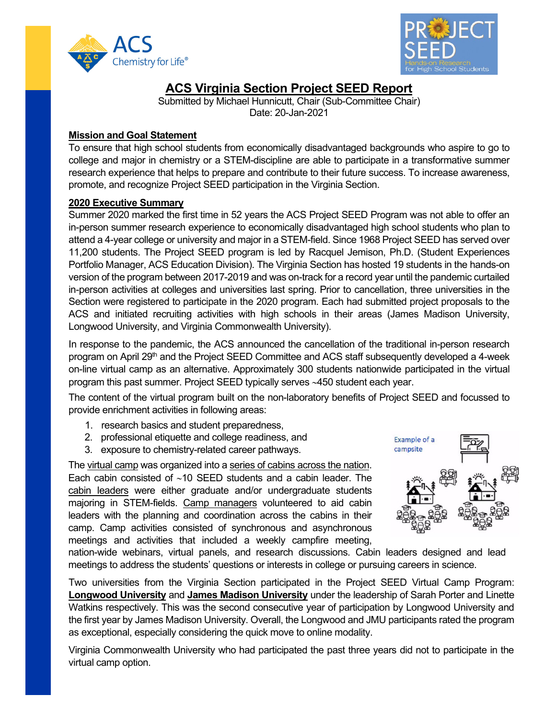



# **ACS Virginia Section Project SEED Report**

Submitted by Michael Hunnicutt, Chair (Sub-Committee Chair) Date: 20-Jan-2021

# **Mission and Goal Statement**

To ensure that high school students from economically disadvantaged backgrounds who aspire to go to college and major in chemistry or a STEM-discipline are able to participate in a transformative summer research experience that helps to prepare and contribute to their future success. To increase awareness, promote, and recognize Project SEED participation in the Virginia Section.

# **2020 Executive Summary**

Summer 2020 marked the first time in 52 years the ACS Project SEED Program was not able to offer an in-person summer research experience to economically disadvantaged high school students who plan to attend a 4-year college or university and major in a STEM-field. Since 1968 Project SEED has served over 11,200 students. The Project SEED program is led by Racquel Jemison, Ph.D. (Student Experiences Portfolio Manager, ACS Education Division). The Virginia Section has hosted 19 students in the hands-on version of the program between 2017-2019 and was on-track for a record year until the pandemic curtailed in-person activities at colleges and universities last spring. Prior to cancellation, three universities in the Section were registered to participate in the 2020 program. Each had submitted project proposals to the ACS and initiated recruiting activities with high schools in their areas (James Madison University, Longwood University, and Virginia Commonwealth University).

In response to the pandemic, the ACS announced the cancellation of the traditional in-person research program on April 29<sup>th</sup> and the Project SEED Committee and ACS staff subsequently developed a 4-week on-line virtual camp as an alternative. Approximately 300 students nationwide participated in the virtual program this past summer. Project SEED typically serves ∼450 student each year.

The content of the virtual program built on the non-laboratory benefits of Project SEED and focussed to provide enrichment activities in following areas:

- 1. research basics and student preparedness,
- 2. professional etiquette and college readiness, and
- 3. exposure to chemistry-related career pathways.

The virtual camp was organized into a series of cabins across the nation. Each cabin consisted of ∼10 SEED students and a cabin leader. The cabin leaders were either graduate and/or undergraduate students majoring in STEM-fields. Camp managers volunteered to aid cabin leaders with the planning and coordination across the cabins in their camp. Camp activities consisted of synchronous and asynchronous meetings and activities that included a weekly campfire meeting,



nation-wide webinars, virtual panels, and research discussions. Cabin leaders designed and lead meetings to address the students' questions or interests in college or pursuing careers in science.

Two universities from the Virginia Section participated in the Project SEED Virtual Camp Program: **Longwood University** and **James Madison University** under the leadership of Sarah Porter and Linette Watkins respectively. This was the second consecutive year of participation by Longwood University and the first year by James Madison University. Overall, the Longwood and JMU participants rated the program as exceptional, especially considering the quick move to online modality.

Virginia Commonwealth University who had participated the past three years did not to participate in the virtual camp option.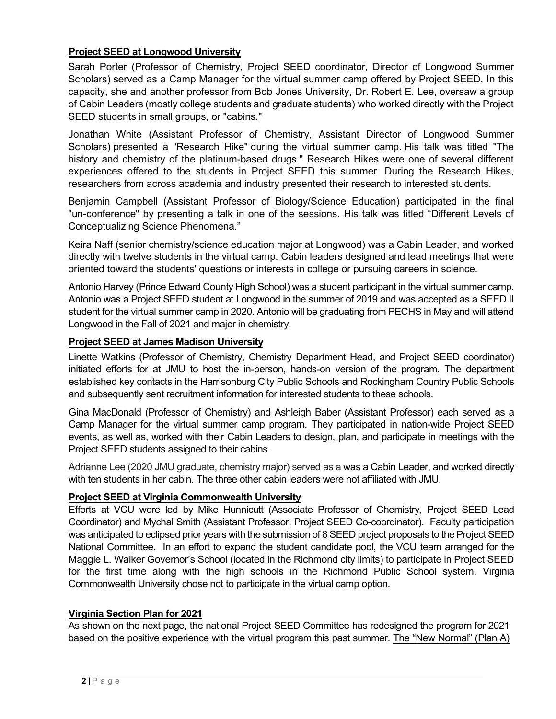# **Project SEED at Longwood University**

Sarah Porter (Professor of Chemistry, Project SEED coordinator, Director of Longwood Summer Scholars) served as a Camp Manager for the virtual summer camp offered by Project SEED. In this capacity, she and another professor from Bob Jones University, Dr. Robert E. Lee, oversaw a group of Cabin Leaders (mostly college students and graduate students) who worked directly with the Project SEED students in small groups, or "cabins."

Jonathan White (Assistant Professor of Chemistry, Assistant Director of Longwood Summer Scholars) presented a "Research Hike" during the virtual summer camp. His talk was titled "The history and chemistry of the platinum-based drugs." Research Hikes were one of several different experiences offered to the students in Project SEED this summer. During the Research Hikes, researchers from across academia and industry presented their research to interested students.

Benjamin Campbell (Assistant Professor of Biology/Science Education) participated in the final "un-conference" by presenting a talk in one of the sessions. His talk was titled "Different Levels of Conceptualizing Science Phenomena."

Keira Naff (senior chemistry/science education major at Longwood) was a Cabin Leader, and worked directly with twelve students in the virtual camp. Cabin leaders designed and lead meetings that were oriented toward the students' questions or interests in college or pursuing careers in science.

Antonio Harvey (Prince Edward County High School) was a student participant in the virtual summer camp. Antonio was a Project SEED student at Longwood in the summer of 2019 and was accepted as a SEED II student for the virtual summer camp in 2020. Antonio will be graduating from PECHS in May and will attend Longwood in the Fall of 2021 and major in chemistry.

#### **Project SEED at James Madison University**

Linette Watkins (Professor of Chemistry, Chemistry Department Head, and Project SEED coordinator) initiated efforts for at JMU to host the in-person, hands-on version of the program. The department established key contacts in the Harrisonburg City Public Schools and Rockingham Country Public Schools and subsequently sent recruitment information for interested students to these schools.

Gina MacDonald (Professor of Chemistry) and Ashleigh Baber (Assistant Professor) each served as a Camp Manager for the virtual summer camp program. They participated in nation-wide Project SEED events, as well as, worked with their Cabin Leaders to design, plan, and participate in meetings with the Project SEED students assigned to their cabins.

Adrianne Lee (2020 JMU graduate, chemistry major) served as a was a Cabin Leader, and worked directly with ten students in her cabin. The three other cabin leaders were not affiliated with JMU.

# **Project SEED at Virginia Commonwealth University**

Efforts at VCU were led by Mike Hunnicutt (Associate Professor of Chemistry, Project SEED Lead Coordinator) and Mychal Smith (Assistant Professor, Project SEED Co-coordinator). Faculty participation was anticipated to eclipsed prior years with the submission of 8 SEED project proposals to the Project SEED National Committee. In an effort to expand the student candidate pool, the VCU team arranged for the Maggie L. Walker Governor's School (located in the Richmond city limits) to participate in Project SEED for the first time along with the high schools in the Richmond Public School system. Virginia Commonwealth University chose not to participate in the virtual camp option.

# **Virginia Section Plan for 2021**

As shown on the next page, the national Project SEED Committee has redesigned the program for 2021 based on the positive experience with the virtual program this past summer. The "New Normal" (Plan A)